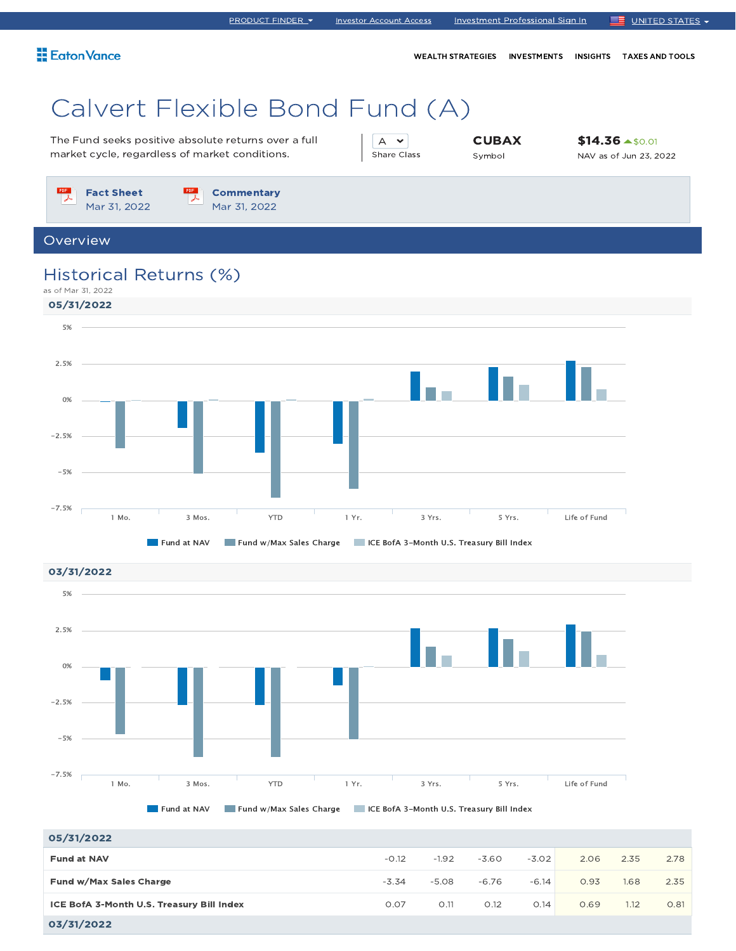WEALTH STRATEGIES INVESTMENTS INSIGHTS TAXES AND TOOLS

# Calvert Flexible Bond Fund (A)

The Fund seeks positive absolute returns over a full market cycle, regardless of market conditions.

A v Share Class **CUBAX** Symbol

\$14.36 \$0.01 NAV as of Jun 23, 2022

 $PDF$ Fact Sheet Mar 31, 2022

**Commentary** Mar 31, 2022

Overview

### Historical Returns (%)





| 05/31/2022                                |         |         |         |         |      |      |      |
|-------------------------------------------|---------|---------|---------|---------|------|------|------|
| <b>Fund at NAV</b>                        | $-0.12$ | $-1.92$ | $-3.60$ | $-3.02$ | 2.06 | 2.35 | 2.78 |
| Fund w/Max Sales Charge                   | $-3.34$ | $-5.08$ | $-6.76$ | $-6.14$ | 0.93 | 1.68 | 2.35 |
| ICE BofA 3-Month U.S. Treasury Bill Index | 0.07    | O.11    | O.12    | O.14    | 0.69 | 1.12 | 0.81 |
| 03/31/2022                                |         |         |         |         |      |      |      |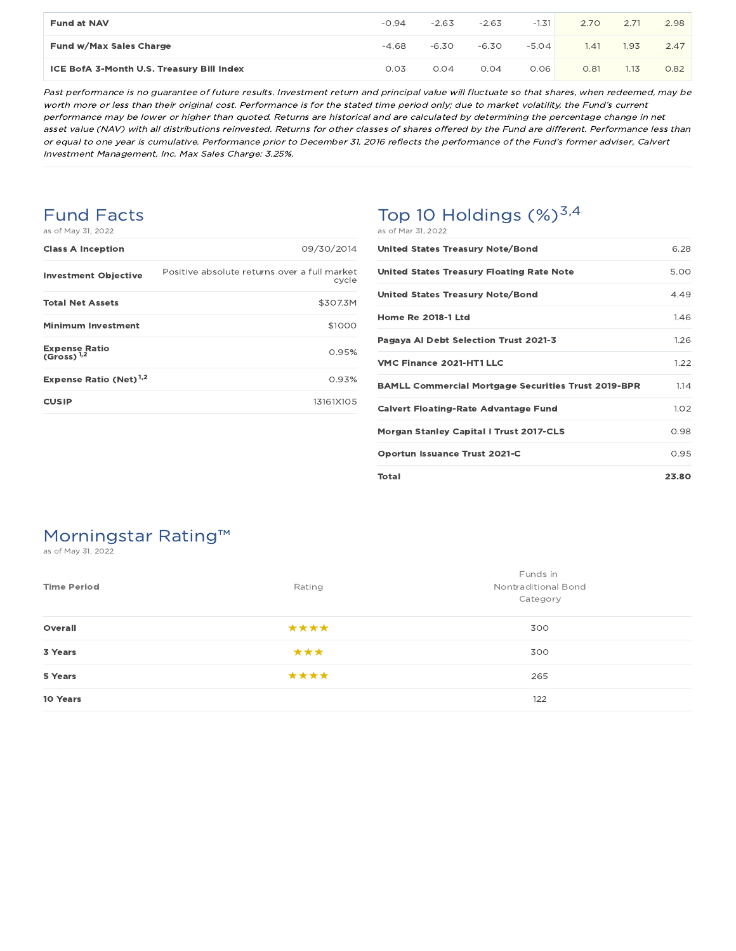| <b>Fund at NAV</b>                        | $-0.94$ | $-2.63$ | $-2.63$ | $-1.31$ | 2.70 | 2.71 | 2.98 |
|-------------------------------------------|---------|---------|---------|---------|------|------|------|
| Fund w/Max Sales Charge                   | $-4.68$ | $-6.30$ | $-6.30$ | $-5.04$ | 1.41 | 1.93 | 2.47 |
| ICE BofA 3-Month U.S. Treasury Bill Index | 0.03    | 0.04    | 0.04    | 0.06    | 0.81 | 1.13 | 0.82 |

Past performance is no guarantee of future results. Investment return and principal value will fluctuate so that shares, when redeemed, may be worth more or less than their original cost. Performance is for the stated time period only; due to market volatility, the Fund's current performance may be lower or higher than quoted. Returns are historical and are calculated by determining the percentage change in net asset value (NAV) with all distributions reinvested. Returns for other classes of shares offered by the Fund are different. Performance less than or equal to one year is cumulative. Performance prior to December 31, 2016 reflects the performance of the Fund's former adviser, Calvert Investment Management, Inc. Max Sales Charge: 3.25%.

### Fund Facts

|  |  |  | as of May 31, 2022 |
|--|--|--|--------------------|
|--|--|--|--------------------|

| <b>Class A Inception</b>                       | 09/30/2014                                            |
|------------------------------------------------|-------------------------------------------------------|
| <b>Investment Objective</b>                    | Positive absolute returns over a full market<br>cycle |
| <b>Total Net Assets</b>                        | \$307.3M                                              |
| Minimum Investment                             | \$1000                                                |
| <b>Expense Ratio</b><br>(Gross) <sup>1,2</sup> | 0.95%                                                 |
| Expense Ratio (Net) <sup>1,2</sup>             | 0.93%                                                 |
| <b>CUSIP</b>                                   | 13161X105                                             |

# Top 10 Holdings  $(\%)^{3,4}$

| as of Mar 31, 2022 |  |  |
|--------------------|--|--|
|--------------------|--|--|

| United States Treasury Note/Bond                           | 6.28  |
|------------------------------------------------------------|-------|
| <b>United States Treasury Floating Rate Note</b>           | 5.00  |
| <b>United States Treasury Note/Bond</b>                    | 449   |
| <b>Home Re 2018-1 Ltd</b>                                  | 1.46  |
| Pagaya Al Debt Selection Trust 2021-3                      | 1.26  |
| VMC Finance 2021-HT1 LLC                                   | 1.22  |
| <b>BAMLL Commercial Mortgage Securities Trust 2019-BPR</b> | 1.14  |
| <b>Calvert Floating-Rate Advantage Fund</b>                | 1.02  |
| <b>Morgan Stanley Capital I Trust 2017-CLS</b>             | 0.98  |
| <b>Oportun Issuance Trust 2021-C</b>                       | 0.95  |
| Total                                                      | 23.80 |

### Morningstar Rating™

as of May 31, 2022

| <b>Time Period</b> | Rating | Funds in<br>Nontraditional Bond<br>Category |
|--------------------|--------|---------------------------------------------|
| Overall            | ****   | 300                                         |
| 3 Years            | ***    | 300                                         |
| 5 Years            | ****   | 265                                         |
| 10 Years           |        | 122                                         |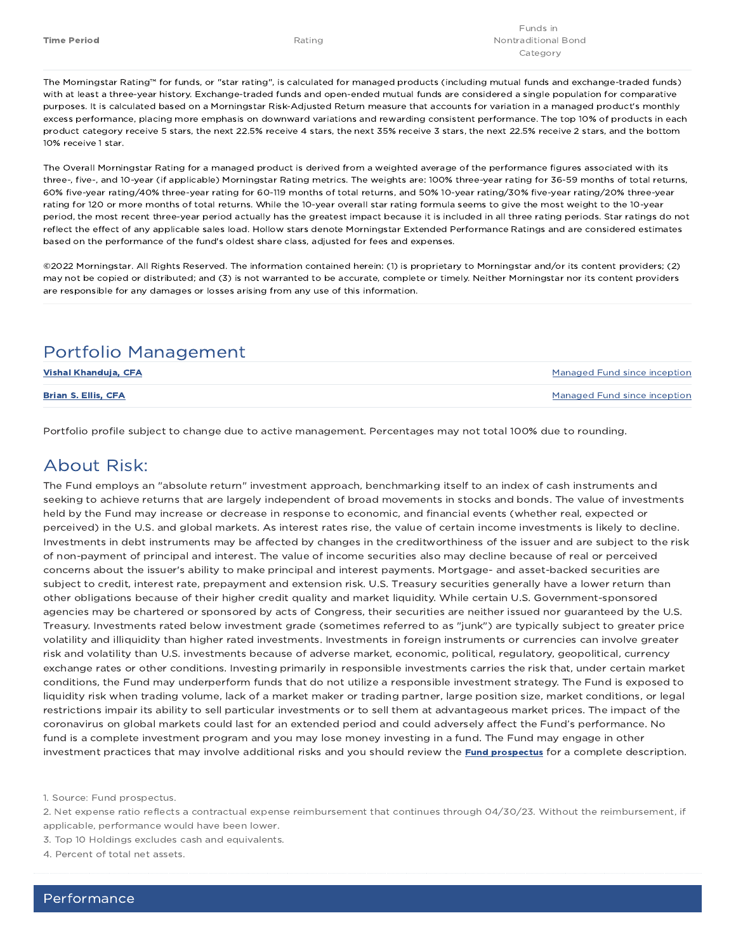The Morningstar Rating™ for funds, or "star rating", is calculated for managed products (including mutual funds and exchange-traded funds) with at least a three-year history. Exchange-traded funds and open-ended mutual funds are considered a single population for comparative purposes. It is calculated based on a Morningstar Risk-Adjusted Return measure that accounts for variation in a managed product's monthly excess performance, placing more emphasis on downward variations and rewarding consistent performance. The top 10% of products in each product category receive 5 stars, the next 22.5% receive 4 stars, the next 35% receive 3 stars, the next 22.5% receive 2 stars, and the bottom 10% receive 1 star.

The Overall Morningstar Rating for a managed product is derived from a weighted average of the performance figures associated with its three-, five-, and 10-year (if applicable) Morningstar Rating metrics. The weights are: 100% three-year rating for 36-59 months of total returns, 60% five-year rating/40% three-year rating for 60-119 months of total returns, and 50% 10-year rating/30% five-year rating/20% three-year rating for 120 or more months of total returns. While the 10-year overall star rating formula seems to give the most weight to the 10-year period, the most recent three-year period actually has the greatest impact because it is included in all three rating periods. Star ratings do not reflect the effect of any applicable sales load. Hollow stars denote Morningstar Extended Performance Ratings and are considered estimates based on the performance of the fund's oldest share class, adjusted for fees and expenses.

©2022 Morningstar. All Rights Reserved. The information contained herein: (1) is proprietary to Morningstar and/or its content providers; (2) may not be copied or distributed; and (3) is not warranted to be accurate, complete or timely. Neither Morningstar nor its content providers are responsible for any damages or losses arising from any use of this information.

### Portfolio Management

| Vishal Khanduja, CFA       | Managed Fund since inception |
|----------------------------|------------------------------|
| <b>Brian S. Ellis, CFA</b> | Managed Fund since inception |

Portfolio profile subject to change due to active management. Percentages may not total 100% due to rounding.

### About Risk:

The Fund employs an "absolute return" investment approach, benchmarking itself to an index of cash instruments and seeking to achieve returns that are largely independent of broad movements in stocks and bonds. The value of investments held by the Fund may increase or decrease in response to economic, and financial events (whether real, expected or perceived) in the U.S. and global markets. As interest rates rise, the value of certain income investments is likely to decline. Investments in debt instruments may be affected by changes in the creditworthiness of the issuer and are subject to the risk of non-payment of principal and interest. The value of income securities also may decline because of real or perceived concerns about the issuer's ability to make principal and interest payments. Mortgage- and asset-backed securities are subject to credit, interest rate, prepayment and extension risk. U.S. Treasury securities generally have a lower return than other obligations because of their higher credit quality and market liquidity. While certain U.S. Government-sponsored agencies may be chartered or sponsored by acts of Congress, their securities are neither issued nor guaranteed by the U.S. Treasury. Investments rated below investment grade (sometimes referred to as "junk") are typically subject to greater price volatility and illiquidity than higher rated investments. Investments in foreign instruments or currencies can involve greater risk and volatility than U.S. investments because of adverse market, economic, political, regulatory, geopolitical, currency exchange rates or other conditions. Investing primarily in responsible investments carries the risk that, under certain market conditions, the Fund may underperform funds that do not utilize a responsible investment strategy. The Fund is exposed to liquidity risk when trading volume, lack of a market maker or trading partner, large position size, market conditions, or legal restrictions impair its ability to sell particular investments or to sell them at advantageous market prices. The impact of the coronavirus on global markets could last for an extended period and could adversely affect the Fund's performance. No fund is a complete investment program and you may lose money investing in a fund. The Fund may engage in other investment practices that may involve additional risks and you should review the **Fund prospectus** for a complete description.

1. Source: Fund prospectus.

3. Top 10 Holdings excludes cash and equivalents.

4. Percent of total net assets.

<sup>2.</sup> Net expense ratio reflects a contractual expense reimbursement that continues through 04/30/23. Without the reimbursement, if applicable, performance would have been lower.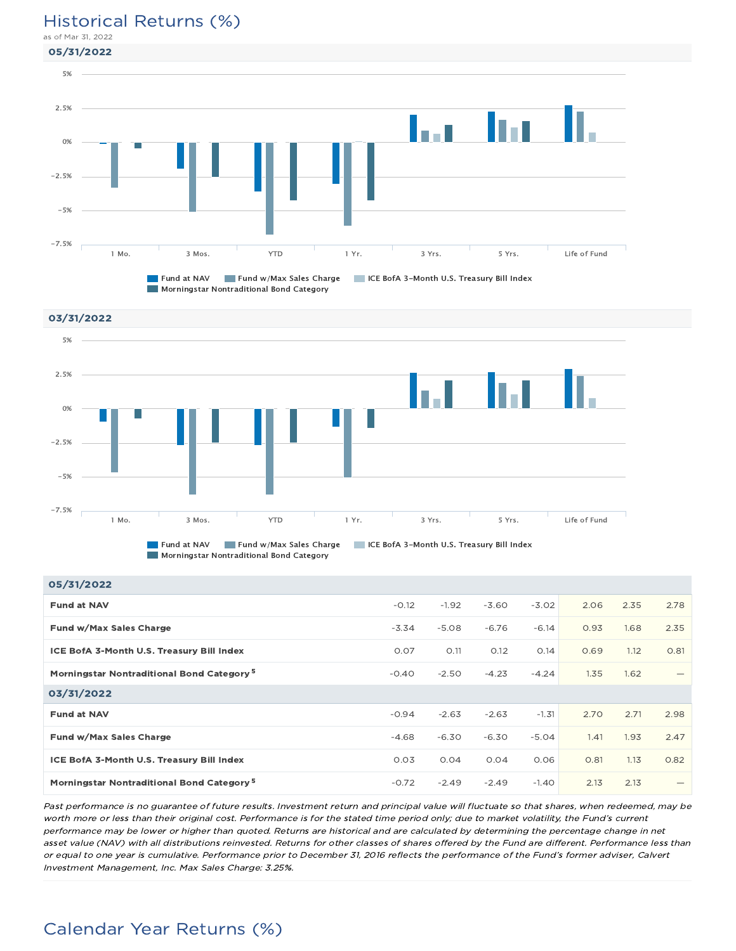#### Historical Returns (%)

as of Mar 31, 2022





**Fund at NAV Fund w/Max Sales Charge TRICE BofA 3-Month U.S. Treasury Bill Index Morningstar Nontraditional Bond Category** 

| 05/31/2022                                            |         |         |         |         |      |      |      |
|-------------------------------------------------------|---------|---------|---------|---------|------|------|------|
| <b>Fund at NAV</b>                                    | $-0.12$ | $-1.92$ | $-3.60$ | $-3.02$ | 2.06 | 2.35 | 2.78 |
| Fund w/Max Sales Charge                               | $-3.34$ | $-5.08$ | $-6.76$ | $-6.14$ | 0.93 | 1.68 | 2.35 |
| ICE BofA 3-Month U.S. Treasury Bill Index             | 0.07    | O.11    | O.12    | 0.14    | 0.69 | 1.12 | O.81 |
| Morningstar Nontraditional Bond Category <sup>5</sup> | $-0.40$ | $-2.50$ | $-4.23$ | $-4.24$ | 1.35 | 1.62 |      |
| 03/31/2022                                            |         |         |         |         |      |      |      |
| <b>Fund at NAV</b>                                    | $-0.94$ | $-2.63$ | $-2.63$ | $-1.31$ | 2.70 | 2.71 | 2.98 |
| Fund w/Max Sales Charge                               | $-4.68$ | $-6.30$ | $-6.30$ | $-5.04$ | 1.41 | 1.93 | 2.47 |
| <b>ICE BofA 3-Month U.S. Treasury Bill Index</b>      | 0.03    | 0.04    | 0.04    | 0.06    | 0.81 | 1.13 | 0.82 |
| Morningstar Nontraditional Bond Category <sup>5</sup> | $-0.72$ | $-2.49$ | $-2.49$ | $-1.40$ | 2.13 | 2.13 | -    |

Past performance is no guarantee of future results. Investment return and principal value will fluctuate so that shares, when redeemed, may be worth more or less than their original cost. Performance is for the stated time period only; due to market volatility, the Fund's current performance may be lower or higher than quoted. Returns are historical and are calculated by determining the percentage change in net asset value (NAV) with all distributions reinvested. Returns for other classes of shares offered by the Fund are different. Performance less than or equal to one year is cumulative. Performance prior to December 31, 2016 reflects the performance of the Fund's former adviser, Calvert Investment Management, Inc. Max Sales Charge: 3.25%.

# Calendar Year Returns (%)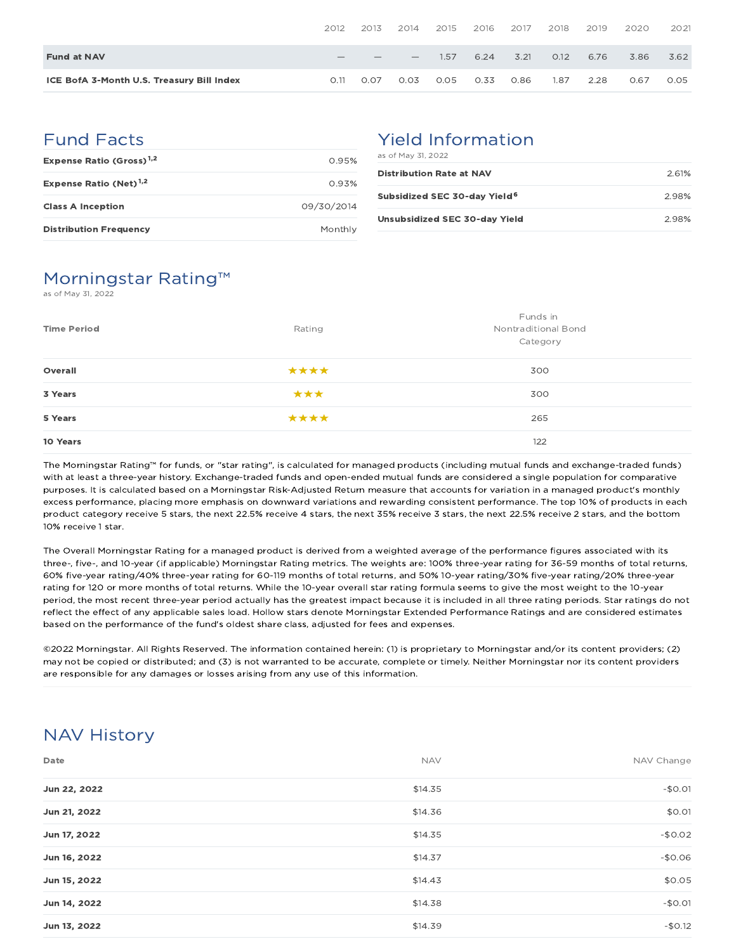|                                           | 2012 | 2013 | 2014                            | 2015 | 2016 | 2017 | 2018 | 2019 | 2020 | 2021 |
|-------------------------------------------|------|------|---------------------------------|------|------|------|------|------|------|------|
| <b>Fund at NAV</b>                        |      |      | $\hspace{0.1mm}-\hspace{0.1mm}$ | 1.57 | 6.24 | 3.21 | O.12 | 6.76 | 3.86 | 3.62 |
| ICE BofA 3-Month U.S. Treasury Bill Index | O.11 | 0.07 | 0.03                            | 0.05 | 0.33 | 0.86 | 1.87 | 2.28 | 0.67 | 0.05 |

#### Fund Facts

| Expense Ratio (Gross) <sup>1,2</sup> | O 95%      |
|--------------------------------------|------------|
| Expense Ratio (Net) <sup>1,2</sup>   | 0.93%      |
| <b>Class A Inception</b>             | 09/30/2014 |
| <b>Distribution Frequency</b>        | Monthly    |

#### Yield Information as of May 31, 2022

| <b>Distribution Rate at NAV</b>          | 2.61% |
|------------------------------------------|-------|
| Subsidized SEC 30-day Yield <sup>6</sup> | 298%  |
| Unsubsidized SEC 30-day Yield            | 2.98% |

### Morningstar Rating™

as of May 31, 2022

| <b>Time Period</b> | Rating | Funds in<br><b>Nontraditional Bond</b><br>Category |
|--------------------|--------|----------------------------------------------------|
| Overall            | ****   | 300                                                |
| 3 Years            | ***    | 300                                                |
| 5 Years            | ****   | 265                                                |
| 10 Years           |        | 122                                                |

The Morningstar Rating™ for funds, or "star rating", is calculated for managed products (including mutual funds and exchange-traded funds) with at least a three-year history. Exchange-traded funds and open-ended mutual funds are considered a single population for comparative purposes. It is calculated based on a Morningstar Risk-Adjusted Return measure that accounts for variation in a managed product's monthly excess performance, placing more emphasis on downward variations and rewarding consistent performance. The top 10% of products in each product category receive 5 stars, the next 22.5% receive 4 stars, the next 35% receive 3 stars, the next 22.5% receive 2 stars, and the bottom 10% receive 1 star.

The Overall Morningstar Rating for a managed product is derived from a weighted average of the performance figures associated with its three-, five-, and 10-year (if applicable) Morningstar Rating metrics. The weights are: 100% three-year rating for 36-59 months of total returns, 60% five-year rating/40% three-year rating for 60-119 months of total returns, and 50% 10-year rating/30% five-year rating/20% three-year rating for 120 or more months of total returns. While the 10-year overall star rating formula seems to give the most weight to the 10-year period, the most recent three-year period actually has the greatest impact because it is included in all three rating periods. Star ratings do not reflect the effect of any applicable sales load. Hollow stars denote Morningstar Extended Performance Ratings and are considered estimates based on the performance of the fund's oldest share class, adjusted for fees and expenses.

©2022 Morningstar. All Rights Reserved. The information contained herein: (1) is proprietary to Morningstar and/or its content providers; (2) may not be copied or distributed; and (3) is not warranted to be accurate, complete or timely. Neither Morningstar nor its content providers are responsible for any damages or losses arising from any use of this information.

# NAV History

| Date         | <b>NAV</b> | NAV Change |
|--------------|------------|------------|
| Jun 22, 2022 | \$14.35    | $-$0.01$   |
| Jun 21, 2022 | \$14.36    | \$0.01     |
| Jun 17, 2022 | \$14.35    | $-$0.02$   |
| Jun 16, 2022 | \$14.37    | $-$0.06$   |
| Jun 15, 2022 | \$14.43    | \$0.05     |
| Jun 14, 2022 | \$14.38    | $-$0.01$   |
| Jun 13, 2022 | \$14.39    | $-$0.12$   |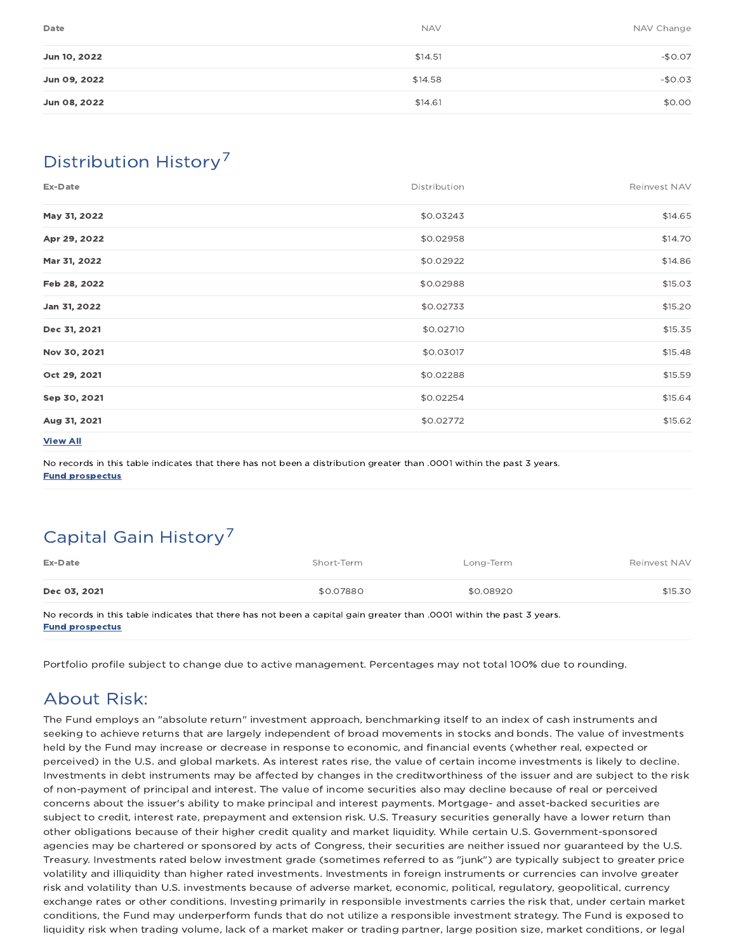| Date         | <b>NAV</b> | NAV Change |
|--------------|------------|------------|
| Jun 10, 2022 | \$14.51    | $-$0.07$   |
| Jun 09, 2022 | \$14.58    | $-$0.03$   |
| Jun 08, 2022 | \$14.61    | \$0.00     |

## Distribution History 7

| Ex-Date         | Distribution | Reinvest NAV |
|-----------------|--------------|--------------|
| May 31, 2022    | \$0.03243    | \$14.65      |
| Apr 29, 2022    | \$0.02958    | \$14.70      |
| Mar 31, 2022    | \$0.02922    | \$14.86      |
| Feb 28, 2022    | \$0.02988    | \$15.03      |
| Jan 31, 2022    | \$0.02733    | \$15.20      |
| Dec 31, 2021    | \$0.02710    | \$15.35      |
| Nov 30, 2021    | \$0.03017    | \$15.48      |
| Oct 29, 2021    | \$0.02288    | \$15.59      |
| Sep 30, 2021    | \$0.02254    | \$15.64      |
| Aug 31, 2021    | \$0.02772    | \$15.62      |
| <b>View All</b> |              |              |

No records in this table indicates that there has not been a distribution greater than .0001 within the past 3 years. Fund prospectus

# Capital Gain History<sup>7</sup>

| Ex-Date      | Short-Term | Long-Term | Reinvest NAV |
|--------------|------------|-----------|--------------|
| Dec 03, 2021 | \$0.07880  | \$0.08920 | \$15.30      |

No records in this table indicates that there has not been a capital gain greater than .0001 within the past 3 years. Fund prospectus

Portfolio profile subject to change due to active management. Percentages may not total 100% due to rounding.

### About Risk:

The Fund employs an "absolute return" investment approach, benchmarking itself to an index of cash instruments and seeking to achieve returns that are largely independent of broad movements in stocks and bonds. The value of investments held by the Fund may increase or decrease in response to economic, and financial events (whether real, expected or perceived) in the U.S. and global markets. As interest rates rise, the value of certain income investments is likely to decline. Investments in debt instruments may be affected by changes in the creditworthiness of the issuer and are subject to the risk of non-payment of principal and interest. The value of income securities also may decline because of real or perceived concerns about the issuer's ability to make principal and interest payments. Mortgage- and asset-backed securities are subject to credit, interest rate, prepayment and extension risk. U.S. Treasury securities generally have a lower return than other obligations because of their higher credit quality and market liquidity. While certain U.S. Government-sponsored agencies may be chartered or sponsored by acts of Congress, their securities are neither issued nor guaranteed by the U.S. Treasury. Investments rated below investment grade (sometimes referred to as "junk") are typically subject to greater price volatility and illiquidity than higher rated investments. Investments in foreign instruments or currencies can involve greater risk and volatility than U.S. investments because of adverse market, economic, political, regulatory, geopolitical, currency exchange rates or other conditions. Investing primarily in responsible investments carries the risk that, under certain market conditions, the Fund may underperform funds that do not utilize a responsible investment strategy. The Fund is exposed to liquidity risk when trading volume, lack of a market maker or trading partner, large position size, market conditions, or legal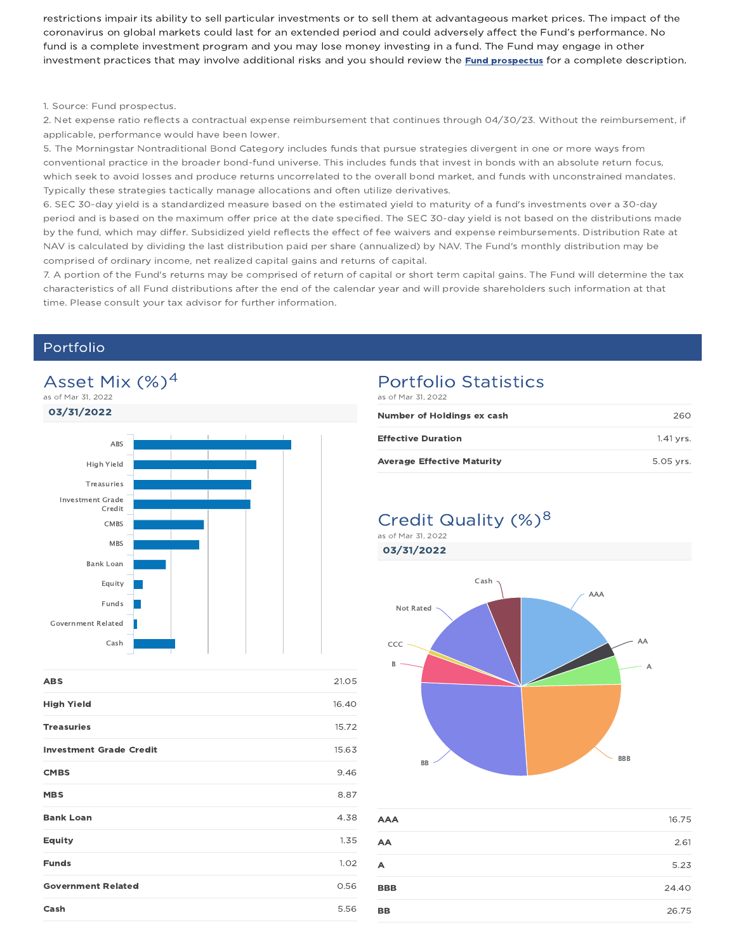restrictions impair its ability to sell particular investments or to sell them at advantageous market prices. The impact of the coronavirus on global markets could last for an extended period and could adversely affect the Fund's performance. No fund is a complete investment program and you may lose money investing in a fund. The Fund may engage in other investment practices that may involve additional risks and you should review the **Fund prospectus** for a complete description.

#### 1. Source: Fund prospectus.

2. Net expense ratio reflects a contractual expense reimbursement that continues through 04/30/23. Without the reimbursement, if applicable, performance would have been lower.

5. The Morningstar Nontraditional Bond Category includes funds that pursue strategies divergent in one or more ways from conventional practice in the broader bond-fund universe. This includes funds that invest in bonds with an absolute return focus, which seek to avoid losses and produce returns uncorrelated to the overall bond market, and funds with unconstrained mandates. Typically these strategies tactically manage allocations and often utilize derivatives.

6. SEC 30-day yield is a standardized measure based on the estimated yield to maturity of a fund's investments over a 30-day period and is based on the maximum offer price at the date specified. The SEC 30-day yield is not based on the distributions made by the fund, which may differ. Subsidized yield reflects the effect of fee waivers and expense reimbursements. Distribution Rate at NAV is calculated by dividing the last distribution paid per share (annualized) by NAV. The Fund's monthly distribution may be comprised of ordinary income, net realized capital gains and returns of capital.

7. A portion of the Fund's returns may be comprised of return of capital or short term capital gains. The Fund will determine the tax characteristics of all Fund distributions after the end of the calendar year and will provide shareholders such information at that time. Please consult your tax advisor for further information.

#### Portfolio



| <b>ABS</b>                     | 21.05 |
|--------------------------------|-------|
| <b>High Yield</b>              | 16.40 |
| <b>Treasuries</b>              | 15.72 |
| <b>Investment Grade Credit</b> | 15.63 |
| <b>CMBS</b>                    | 9.46  |
| <b>MBS</b>                     | 8.87  |
| <b>Bank Loan</b>               | 4.38  |
| <b>Equity</b>                  | 1.35  |
| <b>Funds</b>                   | 1.02  |
| <b>Government Related</b>      | 0.56  |
| Cash                           | 5.56  |

#### Portfolio Statistics as of Mar 31, 2022

| Number of Holdings ex cash        | 260       |
|-----------------------------------|-----------|
| <b>Effective Duration</b>         | 1.41 vrs. |
| <b>Average Effective Maturity</b> | 5.05 vrs. |

#### Credit Quality (%)<sup>8</sup> as of Mar 31, 2022

03/31/2022



| <b>AAA</b> | 16.75 |
|------------|-------|
| AA         | 2.61  |
| A          | 5.23  |
| <b>BBB</b> | 24.40 |
| <b>BB</b>  | 26.75 |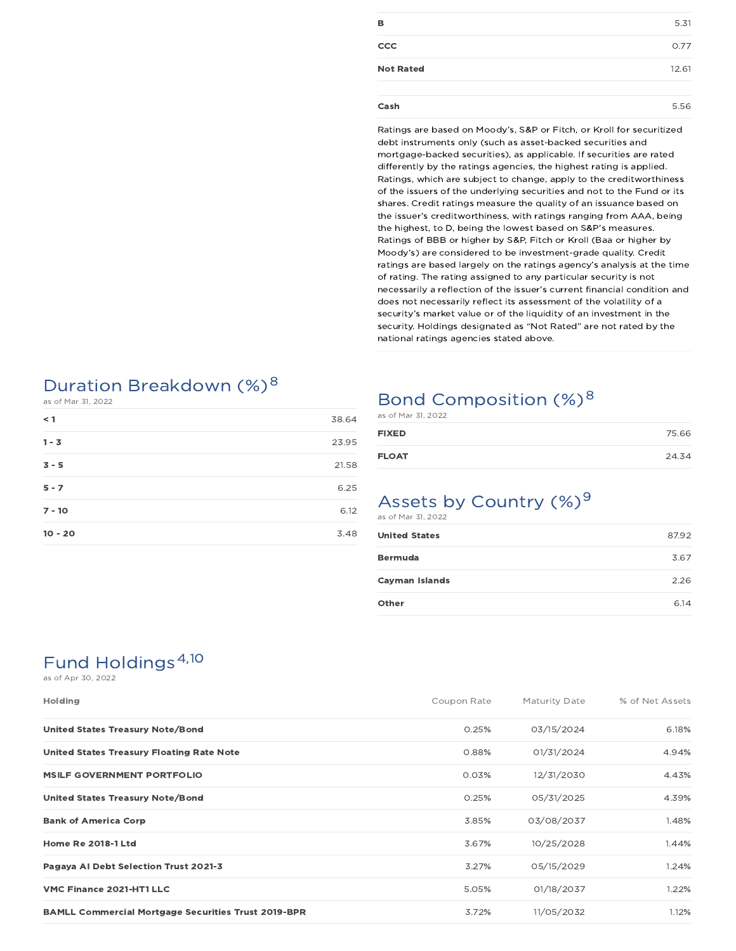| в                | 5.31  |
|------------------|-------|
| <b>CCC</b>       | 0.77  |
| <b>Not Rated</b> | 12.61 |
| Cash             | 5.56  |

Ratings are based on Moody's, S&P or Fitch, or Kroll for securitized debt instruments only (such as asset-backed securities and mortgage-backed securities), as applicable. If securities are rated differently by the ratings agencies, the highest rating is applied. Ratings, which are subject to change, apply to the creditworthiness of the issuers of the underlying securities and not to the Fund or its shares. Credit ratings measure the quality of an issuance based on the issuer's creditworthiness, with ratings ranging from AAA, being the highest, to D, being the lowest based on S&P's measures. Ratings of BBB or higher by S&P, Fitch or Kroll (Baa or higher by Moody's) are considered to be investment-grade quality. Credit ratings are based largely on the ratings agency's analysis at the time of rating. The rating assigned to any particular security is not necessarily a reflection of the issuer's current financial condition and does not necessarily reflect its assessment of the volatility of a security's market value or of the liquidity of an investment in the security. Holdings designated as "Not Rated" are not rated by the national ratings agencies stated above.

### Duration Breakdown (%)<sup>8</sup>

as of Mar 31, 2022

| $\leq 1$  | 38.64 |
|-----------|-------|
| $1 - 3$   | 23.95 |
| $3 - 5$   | 21.58 |
| $5 - 7$   | 6.25  |
| $7 - 10$  | 6.12  |
| $10 - 20$ | 3.48  |

### Bond Composition (%)<sup>8</sup>

| as of Mar 31, 2022 |       |
|--------------------|-------|
| <b>FIXED</b>       | 75.66 |
| <b>FLOAT</b>       | 24.34 |

## Assets by Country  $(\%)^9$

as of Mar 31, 2022

| <b>United States</b> | 87.92 |
|----------------------|-------|
| <b>Bermuda</b>       | 3.67  |
| Cayman Islands       | 2.26  |
| Other                | 6.14  |

# Fund Holdings<sup>4,10</sup>

as of Apr 30, 2022

| <b>Holding</b>                                             | Coupon Rate | Maturity Date | % of Net Assets |
|------------------------------------------------------------|-------------|---------------|-----------------|
| United States Treasury Note/Bond                           | 0.25%       | 03/15/2024    | 6.18%           |
| <b>United States Treasury Floating Rate Note</b>           | 0.88%       | 01/31/2024    | 4.94%           |
| <b>MSILF GOVERNMENT PORTFOLIO</b>                          | 0.03%       | 12/31/2030    | 4.43%           |
| United States Treasury Note/Bond                           | 0.25%       | 05/31/2025    | 4.39%           |
| <b>Bank of America Corp</b>                                | 3.85%       | 03/08/2037    | 1.48%           |
| <b>Home Re 2018-1 Ltd</b>                                  | 3.67%       | 10/25/2028    | 1.44%           |
| Pagaya AI Debt Selection Trust 2021-3                      | 3.27%       | 05/15/2029    | 1.24%           |
| VMC Finance 2021-HT1 LLC                                   | 5.05%       | 01/18/2037    | 1.22%           |
| <b>BAMLL Commercial Mortgage Securities Trust 2019-BPR</b> | 3.72%       | 11/05/2032    | 1.12%           |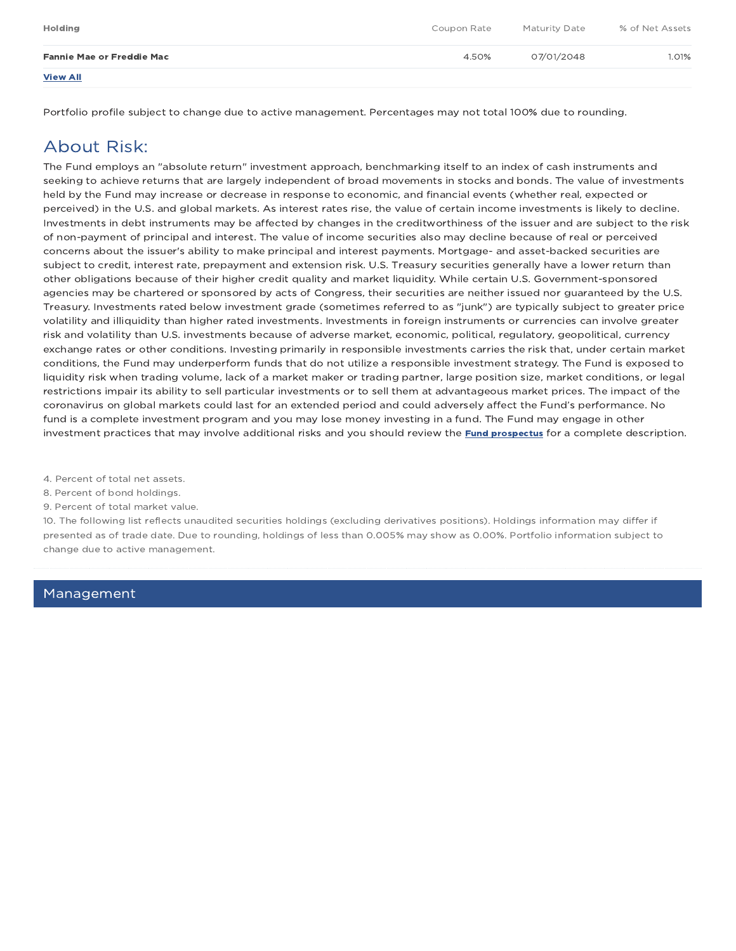| Holding                          | Coupon Rate | Maturity Date | % of Net Assets |
|----------------------------------|-------------|---------------|-----------------|
| <b>Fannie Mae or Freddie Mac</b> | 4.50%       | 07/01/2048    | 1.01%           |
| <b>View All</b>                  |             |               |                 |

Portfolio profile subject to change due to active management. Percentages may not total 100% due to rounding.

### About Risk:

The Fund employs an "absolute return" investment approach, benchmarking itself to an index of cash instruments and seeking to achieve returns that are largely independent of broad movements in stocks and bonds. The value of investments held by the Fund may increase or decrease in response to economic, and financial events (whether real, expected or perceived) in the U.S. and global markets. As interest rates rise, the value of certain income investments is likely to decline. Investments in debt instruments may be affected by changes in the creditworthiness of the issuer and are subject to the risk of non-payment of principal and interest. The value of income securities also may decline because of real or perceived concerns about the issuer's ability to make principal and interest payments. Mortgage- and asset-backed securities are subject to credit, interest rate, prepayment and extension risk. U.S. Treasury securities generally have a lower return than other obligations because of their higher credit quality and market liquidity. While certain U.S. Government-sponsored agencies may be chartered or sponsored by acts of Congress, their securities are neither issued nor guaranteed by the U.S. Treasury. Investments rated below investment grade (sometimes referred to as "junk") are typically subject to greater price volatility and illiquidity than higher rated investments. Investments in foreign instruments or currencies can involve greater risk and volatility than U.S. investments because of adverse market, economic, political, regulatory, geopolitical, currency exchange rates or other conditions. Investing primarily in responsible investments carries the risk that, under certain market conditions, the Fund may underperform funds that do not utilize a responsible investment strategy. The Fund is exposed to liquidity risk when trading volume, lack of a market maker or trading partner, large position size, market conditions, or legal restrictions impair its ability to sell particular investments or to sell them at advantageous market prices. The impact of the coronavirus on global markets could last for an extended period and could adversely affect the Fund's performance. No fund is a complete investment program and you may lose money investing in a fund. The Fund may engage in other investment practices that may involve additional risks and you should review the **Fund prospectus** for a complete description.

4. Percent of total net assets.

8. Percent of bond holdings.

9. Percent of total market value.

10. The following list reflects unaudited securities holdings (excluding derivatives positions). Holdings information may differ if presented as of trade date. Due to rounding, holdings of less than 0.005% may show as 0.00%. Portfolio information subject to change due to active management.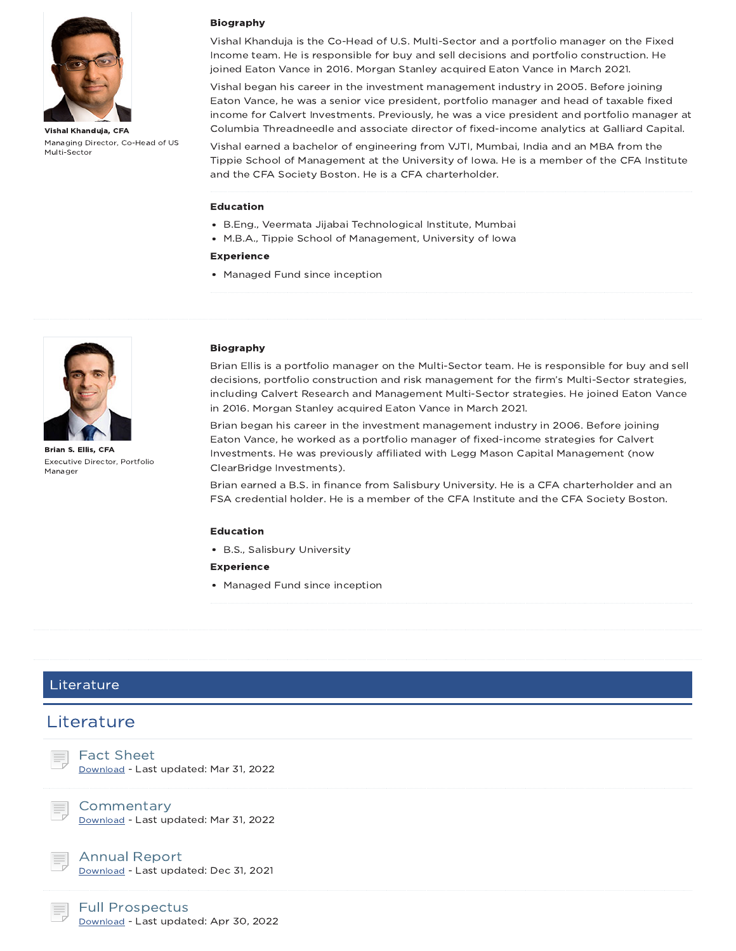

Vishal Khanduja, CFA Managing Director, Co-Head of US Multi-Sector

#### Biography

Vishal Khanduja is the Co-Head of U.S. Multi-Sector and a portfolio manager on the Fixed Income team. He is responsible for buy and sell decisions and portfolio construction. He joined Eaton Vance in 2016. Morgan Stanley acquired Eaton Vance in March 2021.

Vishal began his career in the investment management industry in 2005. Before joining Eaton Vance, he was a senior vice president, portfolio manager and head of taxable fixed income for Calvert Investments. Previously, he was a vice president and portfolio manager at Columbia Threadneedle and associate director of fixed-income analytics at Galliard Capital.

Vishal earned a bachelor of engineering from VJTI, Mumbai, India and an MBA from the Tippie School of Management at the University of Iowa. He is a member of the CFA Institute and the CFA Society Boston. He is a CFA charterholder.

#### Education

- B.Eng., Veermata Jijabai Technological Institute, Mumbai
- M.B.A., Tippie School of Management, University of Iowa
- Experience
- Managed Fund since inception



Brian S. Ellis, CFA Executive Director, Portfolio Manager

#### Biography

Brian Ellis is a portfolio manager on the Multi-Sector team. He is responsible for buy and sell decisions, portfolio construction and risk management for the firm's Multi-Sector strategies, including Calvert Research and Management Multi-Sector strategies. He joined Eaton Vance in 2016. Morgan Stanley acquired Eaton Vance in March 2021.

Brian began his career in the investment management industry in 2006. Before joining Eaton Vance, he worked as a portfolio manager of fixed-income strategies for Calvert Investments. He was previously affiliated with Legg Mason Capital Management (now ClearBridge Investments).

Brian earned a B.S. in finance from Salisbury University. He is a CFA charterholder and an FSA credential holder. He is a member of the CFA Institute and the CFA Society Boston.

#### Education

B.S., Salisbury University

#### Experience

• Managed Fund since inception

#### Literature

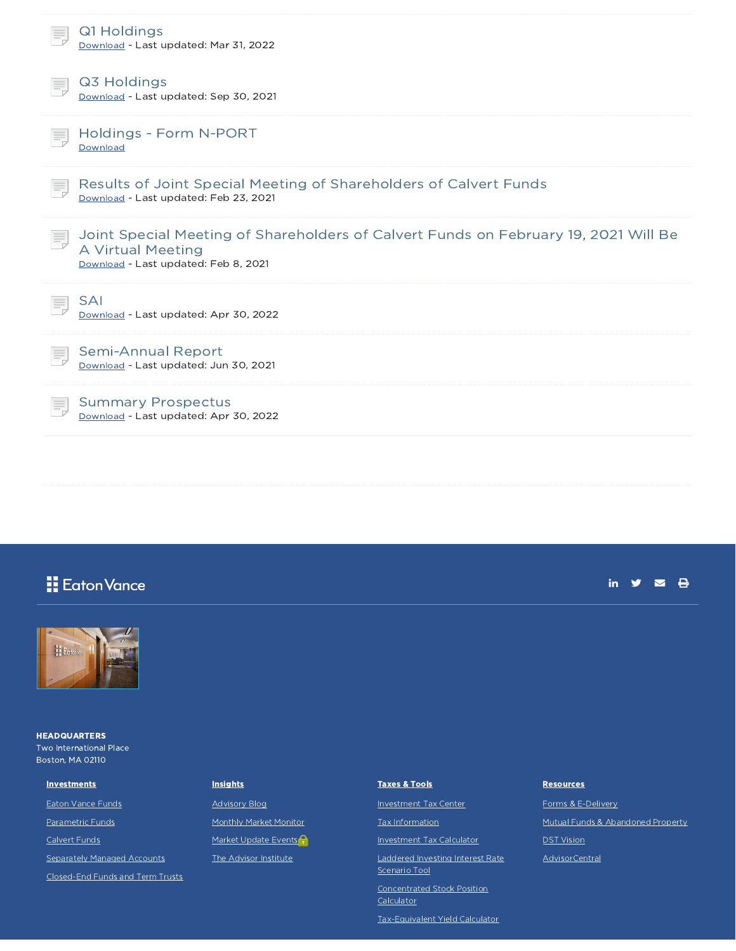| Q1 Holdings<br>Download - Last updated: Mar 31, 2022                                                                                             |
|--------------------------------------------------------------------------------------------------------------------------------------------------|
| Q3 Holdings<br>Download - Last updated: Sep 30, 2021                                                                                             |
| Holdings - Form N-PORT<br>Download                                                                                                               |
| Results of Joint Special Meeting of Shareholders of Calvert Funds<br>Ħ.<br>Download - Last updated: Feb 23, 2021                                 |
| Joint Special Meeting of Shareholders of Calvert Funds on February 19, 2021 Will Be<br>A Virtual Meeting<br>Download - Last updated: Feb 8, 2021 |
| <b>SAI</b><br>Download - Last updated: Apr 30, 2022                                                                                              |
| Semi-Annual Report<br>Download - Last updated: Jun 30, 2021                                                                                      |
| <b>Summary Prospectus</b><br>Download - Last updated: Apr 30, 2022                                                                               |

### **H** Eaton Vance

#### in  $y = 0$



**HEADQUARTERS** Two International Place Boston, MA 02110

#### **Investments**

Eaton Vance Funds

Parametric Funds

Calvert Funds

**Separately Managed Accounts** 

Closed-End Funds and Term Trusts

#### **Insights**

Advisory Blog Monthly Market Monitor Market Update Events<sup>O</sup> The Advisor Institute

#### Taxes & Tools

Investment Tax Center

Tax Information

Investment Tax Calculator

Laddered Investing Interest Rate Scenario Tool

Concentrated Stock Position Calculator

Tax-Equivalent Yield Calculator

#### **Resources**

Forms & E-Delivery

Mutual Funds & Abandoned Property

DST Vision

AdvisorCentral